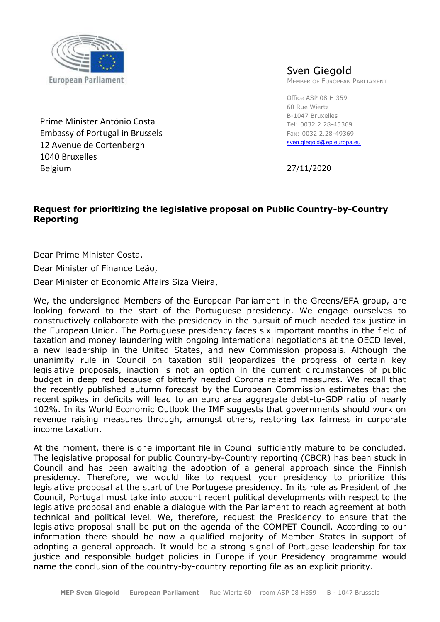

Prime Minister António Costa Embassy of Portugal in Brussels 12 Avenue de Cortenbergh 1040 Bruxelles Belgium

## Sven Giegold

MEMBER OF EUROPEAN PARLIAMENT

Office ASP 08 H 359 60 Rue Wiertz B-1047 Bruxelles Tel: 0032.2.28-45369 Fax: 0032.2.28-49369 [sven.giegold@ep.europa.eu](mailto:jan.albrecht@europarl.europa.eu)

27/11/2020

## **Request for prioritizing the legislative proposal on Public Country-by-Country Reporting**

Dear Prime Minister Costa,

Dear Minister of Finance Leão,

Dear Minister of Economic Affairs Siza Vieira,

We, the undersigned Members of the European Parliament in the Greens/EFA group, are looking forward to the start of the Portuguese presidency. We engage ourselves to constructively collaborate with the presidency in the pursuit of much needed tax justice in the European Union. The Portuguese presidency faces six important months in the field of taxation and money laundering with ongoing international negotiations at the OECD level, a new leadership in the United States, and new Commission proposals. Although the unanimity rule in Council on taxation still jeopardizes the progress of certain key legislative proposals, inaction is not an option in the current circumstances of public budget in deep red because of bitterly needed Corona related measures. We recall that the recently published autumn forecast by the European Commission estimates that the recent spikes in deficits will lead to an euro area aggregate debt-to-GDP ratio of nearly 102%. In its World Economic Outlook the IMF suggests that governments should work on revenue raising measures through, amongst others, restoring tax fairness in corporate income taxation.

At the moment, there is one important file in Council sufficiently mature to be concluded. The legislative proposal for public Country-by-Country reporting (CBCR) has been stuck in Council and has been awaiting the adoption of a general approach since the Finnish presidency. Therefore, we would like to request your presidency to prioritize this legislative proposal at the start of the Portugese presidency. In its role as President of the Council, Portugal must take into account recent political developments with respect to the legislative proposal and enable a dialogue with the Parliament to reach agreement at both technical and political level. We, therefore, request the Presidency to ensure that the legislative proposal shall be put on the agenda of the COMPET Council. According to our information there should be now a qualified majority of Member States in support of adopting a general approach. It would be a strong signal of Portugese leadership for tax justice and responsible budget policies in Europe if your Presidency programme would name the conclusion of the country-by-country reporting file as an explicit priority.